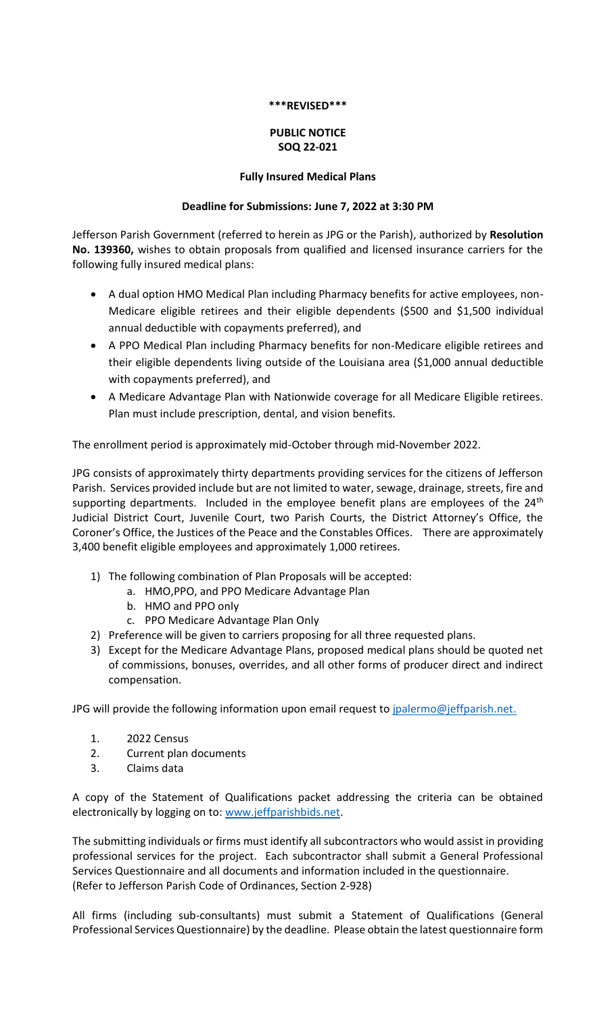#### **\*\*\*REVISED\*\*\***

# **PUBLIC NOTICE SOQ 22-021**

### **Fully Insured Medical Plans**

### **Deadline for Submissions: June 7, 2022 at 3:30 PM**

Jefferson Parish Government (referred to herein as JPG or the Parish), authorized by **Resolution No. 139360,** wishes to obtain proposals from qualified and licensed insurance carriers for the following fully insured medical plans:

- A dual option HMO Medical Plan including Pharmacy benefits for active employees, non-Medicare eligible retirees and their eligible dependents (\$500 and \$1,500 individual annual deductible with copayments preferred), and
- A PPO Medical Plan including Pharmacy benefits for non-Medicare eligible retirees and their eligible dependents living outside of the Louisiana area (\$1,000 annual deductible with copayments preferred), and
- A Medicare Advantage Plan with Nationwide coverage for all Medicare Eligible retirees. Plan must include prescription, dental, and vision benefits.

The enrollment period is approximately mid-October through mid-November 2022.

JPG consists of approximately thirty departments providing services for the citizens of Jefferson Parish. Services provided include but are not limited to water, sewage, drainage, streets, fire and supporting departments. Included in the employee benefit plans are employees of the 24<sup>th</sup> Judicial District Court, Juvenile Court, two Parish Courts, the District Attorney's Office, the Coroner's Office, the Justices of the Peace and the Constables Offices. There are approximately 3,400 benefit eligible employees and approximately 1,000 retirees.

- 1) The following combination of Plan Proposals will be accepted:
	- a. HMO,PPO, and PPO Medicare Advantage Plan
	- b. HMO and PPO only
	- c. PPO Medicare Advantage Plan Only
- 2) Preference will be given to carriers proposing for all three requested plans.
- 3) Except for the Medicare Advantage Plans, proposed medical plans should be quoted net of commissions, bonuses, overrides, and all other forms of producer direct and indirect compensation.

JPG will provide the following information upon email request to [jpalermo@jeffparish.net.](mailto:jpalermo@jeffparish.net)

- 1. 2022 Census
- 2. Current plan documents
- 3. Claims data

A copy of the Statement of Qualifications packet addressing the criteria can be obtained electronically by logging on to[: www.jeffparishbids.net.](http://www.jeffparishbids.net/)

The submitting individuals or firms must identify all subcontractors who would assist in providing professional services for the project. Each subcontractor shall submit a General Professional Services Questionnaire and all documents and information included in the questionnaire. (Refer to Jefferson Parish Code of Ordinances, Section 2-928)

All firms (including sub-consultants) must submit a Statement of Qualifications (General Professional Services Questionnaire) by the deadline. Please obtain the latest questionnaire form